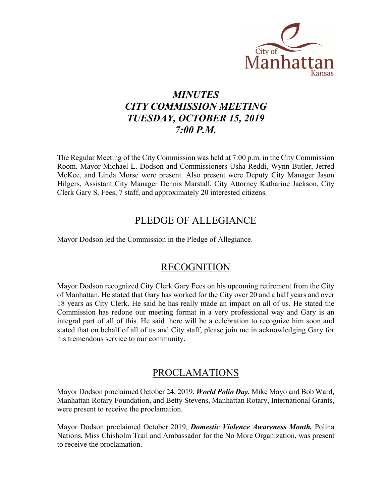

## *MINUTES CITY COMMISSION MEETING TUESDAY, OCTOBER 15, 2019 7:00 P.M.*

The Regular Meeting of the City Commission was held at 7:00 p.m. in the City Commission Room. Mayor Michael L. Dodson and Commissioners Usha Reddi, Wynn Butler, Jerred McKee, and Linda Morse were present. Also present were Deputy City Manager Jason Hilgers, Assistant City Manager Dennis Marstall, City Attorney Katharine Jackson, City Clerk Gary S. Fees, 7 staff, and approximately 20 interested citizens.

## PLEDGE OF ALLEGIANCE

Mayor Dodson led the Commission in the Pledge of Allegiance.

## RECOGNITION

Mayor Dodson recognized City Clerk Gary Fees on his upcoming retirement from the City of Manhattan. He stated that Gary has worked for the City over 20 and a half years and over 18 years as City Clerk. He said he has really made an impact on all of us. He stated the Commission has redone our meeting format in a very professional way and Gary is an integral part of all of this. He said there will be a celebration to recognize him soon and stated that on behalf of all of us and City staff, please join me in acknowledging Gary for his tremendous service to our community.

## PROCLAMATIONS

Mayor Dodson proclaimed October 24, 2019, *World Polio Day.* Mike Mayo and Bob Ward, Manhattan Rotary Foundation, and Betty Stevens, Manhattan Rotary, International Grants, were present to receive the proclamation.

Mayor Dodson proclaimed October 2019, *Domestic Violence Awareness Month.* Polina Nations, Miss Chisholm Trail and Ambassador for the No More Organization, was present to receive the proclamation.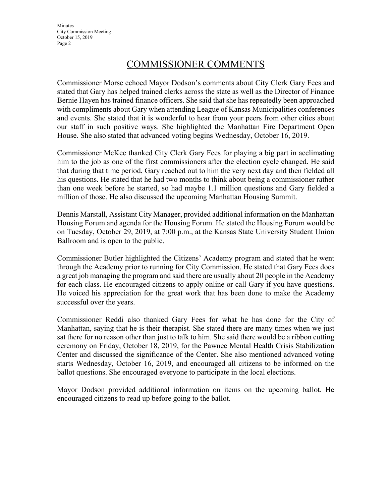## COMMISSIONER COMMENTS

Commissioner Morse echoed Mayor Dodson's comments about City Clerk Gary Fees and stated that Gary has helped trained clerks across the state as well as the Director of Finance Bernie Hayen has trained finance officers. She said that she has repeatedly been approached with compliments about Gary when attending League of Kansas Municipalities conferences and events. She stated that it is wonderful to hear from your peers from other cities about our staff in such positive ways. She highlighted the Manhattan Fire Department Open House. She also stated that advanced voting begins Wednesday, October 16, 2019.

Commissioner McKee thanked City Clerk Gary Fees for playing a big part in acclimating him to the job as one of the first commissioners after the election cycle changed. He said that during that time period, Gary reached out to him the very next day and then fielded all his questions. He stated that he had two months to think about being a commissioner rather than one week before he started, so had maybe 1.1 million questions and Gary fielded a million of those. He also discussed the upcoming Manhattan Housing Summit.

Dennis Marstall, Assistant City Manager, provided additional information on the Manhattan Housing Forum and agenda for the Housing Forum. He stated the Housing Forum would be on Tuesday, October 29, 2019, at 7:00 p.m., at the Kansas State University Student Union Ballroom and is open to the public.

Commissioner Butler highlighted the Citizens' Academy program and stated that he went through the Academy prior to running for City Commission. He stated that Gary Fees does a great job managing the program and said there are usually about 20 people in the Academy for each class. He encouraged citizens to apply online or call Gary if you have questions. He voiced his appreciation for the great work that has been done to make the Academy successful over the years.

Commissioner Reddi also thanked Gary Fees for what he has done for the City of Manhattan, saying that he is their therapist. She stated there are many times when we just sat there for no reason other than just to talk to him. She said there would be a ribbon cutting ceremony on Friday, October 18, 2019, for the Pawnee Mental Health Crisis Stabilization Center and discussed the significance of the Center. She also mentioned advanced voting starts Wednesday, October 16, 2019, and encouraged all citizens to be informed on the ballot questions. She encouraged everyone to participate in the local elections.

Mayor Dodson provided additional information on items on the upcoming ballot. He encouraged citizens to read up before going to the ballot.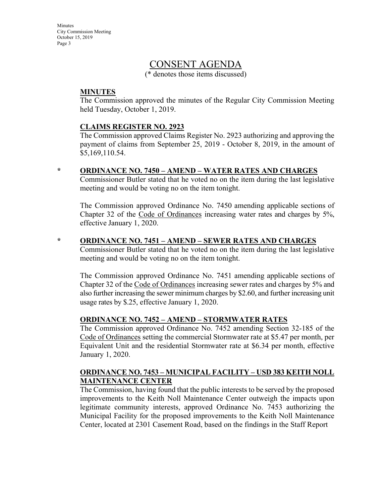## CONSENT AGENDA

(\* denotes those items discussed)

### **MINUTES**

The Commission approved the minutes of the Regular City Commission Meeting held Tuesday, October 1, 2019.

#### **CLAIMS REGISTER NO. 2923**

The Commission approved Claims Register No. 2923 authorizing and approving the payment of claims from September 25, 2019 - October 8, 2019, in the amount of \$5,169,110.54.

#### **\* ORDINANCE NO. 7450 – AMEND – WATER RATES AND CHARGES**

Commissioner Butler stated that he voted no on the item during the last legislative meeting and would be voting no on the item tonight.

The Commission approved Ordinance No. 7450 amending applicable sections of Chapter 32 of the Code of Ordinances increasing water rates and charges by 5%, effective January 1, 2020.

#### **\* ORDINANCE NO. 7451 – AMEND – SEWER RATES AND CHARGES**

Commissioner Butler stated that he voted no on the item during the last legislative meeting and would be voting no on the item tonight.

The Commission approved Ordinance No. 7451 amending applicable sections of Chapter 32 of the Code of Ordinances increasing sewer rates and charges by 5% and also further increasing the sewer minimum charges by \$2.60, and further increasing unit usage rates by \$.25, effective January 1, 2020.

#### **ORDINANCE NO. 7452 – AMEND – STORMWATER RATES**

The Commission approved Ordinance No. 7452 amending Section 32-185 of the Code of Ordinances setting the commercial Stormwater rate at \$5.47 per month, per Equivalent Unit and the residential Stormwater rate at \$6.34 per month, effective January 1, 2020.

#### **ORDINANCE NO. 7453 – MUNICIPAL FACILITY – USD 383 KEITH NOLL MAINTENANCE CENTER**

The Commission, having found that the public interests to be served by the proposed improvements to the Keith Noll Maintenance Center outweigh the impacts upon legitimate community interests, approved Ordinance No. 7453 authorizing the Municipal Facility for the proposed improvements to the Keith Noll Maintenance Center, located at 2301 Casement Road, based on the findings in the Staff Report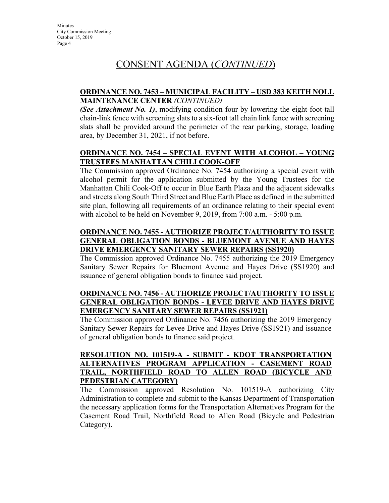## CONSENT AGENDA (*CONTINUED*)

## **ORDINANCE NO. 7453 – MUNICIPAL FACILITY – USD 383 KEITH NOLL MAINTENANCE CENTER** *(CONTINUED)*

*(See Attachment No. 1)*, modifying condition four by lowering the eight-foot-tall chain-link fence with screening slats to a six-foot tall chain link fence with screening slats shall be provided around the perimeter of the rear parking, storage, loading area, by December 31, 2021, if not before.

## **ORDINANCE NO. 7454 – SPECIAL EVENT WITH ALCOHOL – YOUNG TRUSTEES MANHATTAN CHILI COOK-OFF**

The Commission approved Ordinance No. 7454 authorizing a special event with alcohol permit for the application submitted by the Young Trustees for the Manhattan Chili Cook-Off to occur in Blue Earth Plaza and the adjacent sidewalks and streets along South Third Street and Blue Earth Place as defined in the submitted site plan, following all requirements of an ordinance relating to their special event with alcohol to be held on November 9, 2019, from 7:00 a.m. - 5:00 p.m.

## **ORDINANCE NO. 7455 - AUTHORIZE PROJECT/AUTHORITY TO ISSUE GENERAL OBLIGATION BONDS - BLUEMONT AVENUE AND HAYES DRIVE EMERGENCY SANITARY SEWER REPAIRS (SS1920)**

The Commission approved Ordinance No. 7455 authorizing the 2019 Emergency Sanitary Sewer Repairs for Bluemont Avenue and Hayes Drive (SS1920) and issuance of general obligation bonds to finance said project.

## **ORDINANCE NO. 7456 - AUTHORIZE PROJECT/AUTHORITY TO ISSUE GENERAL OBLIGATION BONDS - LEVEE DRIVE AND HAYES DRIVE EMERGENCY SANITARY SEWER REPAIRS (SS1921)**

The Commission approved Ordinance No. 7456 authorizing the 2019 Emergency Sanitary Sewer Repairs for Levee Drive and Hayes Drive (SS1921) and issuance of general obligation bonds to finance said project.

## **RESOLUTION NO. 101519-A - SUBMIT - KDOT TRANSPORTATION ALTERNATIVES PROGRAM APPLICATION - CASEMENT ROAD TRAIL, NORTHFIELD ROAD TO ALLEN ROAD (BICYCLE AND PEDESTRIAN CATEGORY)**

The Commission approved Resolution No. 101519-A authorizing City Administration to complete and submit to the Kansas Department of Transportation the necessary application forms for the Transportation Alternatives Program for the Casement Road Trail, Northfield Road to Allen Road (Bicycle and Pedestrian Category).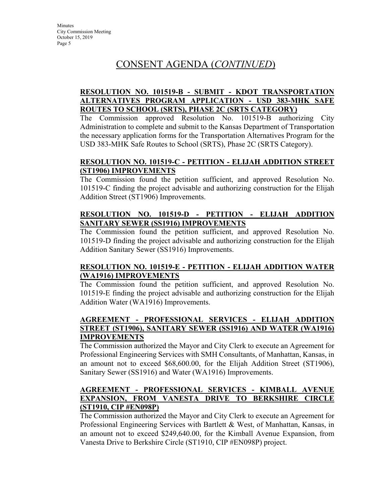## CONSENT AGENDA (*CONTINUED*)

## **RESOLUTION NO. 101519-B - SUBMIT - KDOT TRANSPORTATION ALTERNATIVES PROGRAM APPLICATION - USD 383-MHK SAFE ROUTES TO SCHOOL (SRTS), PHASE 2C (SRTS CATEGORY)**

The Commission approved Resolution No. 101519-B authorizing City Administration to complete and submit to the Kansas Department of Transportation the necessary application forms for the Transportation Alternatives Program for the USD 383-MHK Safe Routes to School (SRTS), Phase 2C (SRTS Category).

## **RESOLUTION NO. 101519-C - PETITION - ELIJAH ADDITION STREET (ST1906) IMPROVEMENTS**

The Commission found the petition sufficient, and approved Resolution No. 101519-C finding the project advisable and authorizing construction for the Elijah Addition Street (ST1906) Improvements.

## **RESOLUTION NO. 101519-D - PETITION - ELIJAH ADDITION SANITARY SEWER (SS1916) IMPROVEMENTS**

The Commission found the petition sufficient, and approved Resolution No. 101519-D finding the project advisable and authorizing construction for the Elijah Addition Sanitary Sewer (SS1916) Improvements.

## **RESOLUTION NO. 101519-E - PETITION - ELIJAH ADDITION WATER (WA1916) IMPROVEMENTS**

The Commission found the petition sufficient, and approved Resolution No. 101519-E finding the project advisable and authorizing construction for the Elijah Addition Water (WA1916) Improvements.

## **AGREEMENT - PROFESSIONAL SERVICES - ELIJAH ADDITION STREET (ST1906), SANITARY SEWER (SS1916) AND WATER (WA1916) IMPROVEMENTS**

The Commission authorized the Mayor and City Clerk to execute an Agreement for Professional Engineering Services with SMH Consultants, of Manhattan, Kansas, in an amount not to exceed \$68,600.00, for the Elijah Addition Street (ST1906), Sanitary Sewer (SS1916) and Water (WA1916) Improvements.

## **AGREEMENT - PROFESSIONAL SERVICES - KIMBALL AVENUE EXPANSION, FROM VANESTA DRIVE TO BERKSHIRE CIRCLE (ST1910, CIP #EN098P)**

The Commission authorized the Mayor and City Clerk to execute an Agreement for Professional Engineering Services with Bartlett & West, of Manhattan, Kansas, in an amount not to exceed \$249,640.00, for the Kimball Avenue Expansion, from Vanesta Drive to Berkshire Circle (ST1910, CIP #EN098P) project.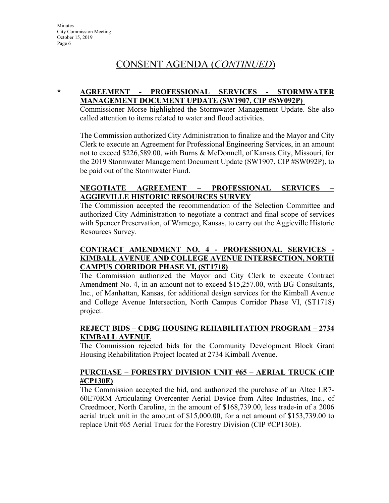## CONSENT AGENDA (*CONTINUED*)

### **\* AGREEMENT - PROFESSIONAL SERVICES - STORMWATER MANAGEMENT DOCUMENT UPDATE (SW1907, CIP #SW092P)**

Commissioner Morse highlighted the Stormwater Management Update. She also called attention to items related to water and flood activities.

The Commission authorized City Administration to finalize and the Mayor and City Clerk to execute an Agreement for Professional Engineering Services, in an amount not to exceed \$226,589.00, with Burns & McDonnell, of Kansas City, Missouri, for the 2019 Stormwater Management Document Update (SW1907, CIP #SW092P), to be paid out of the Stormwater Fund.

## **NEGOTIATE AGREEMENT – PROFESSIONAL SERVICES – AGGIEVILLE HISTORIC RESOURCES SURVEY**

The Commission accepted the recommendation of the Selection Committee and authorized City Administration to negotiate a contract and final scope of services with Spencer Preservation, of Wamego, Kansas, to carry out the Aggieville Historic Resources Survey.

## **CONTRACT AMENDMENT NO. 4 - PROFESSIONAL SERVICES - KIMBALL AVENUE AND COLLEGE AVENUE INTERSECTION, NORTH CAMPUS CORRIDOR PHASE VI, (ST1718)**

The Commission authorized the Mayor and City Clerk to execute Contract Amendment No. 4, in an amount not to exceed \$15,257.00, with BG Consultants, Inc., of Manhattan, Kansas, for additional design services for the Kimball Avenue and College Avenue Intersection, North Campus Corridor Phase VI, (ST1718) project.

## **REJECT BIDS – CDBG HOUSING REHABILITATION PROGRAM – 2734 KIMBALL AVENUE**

The Commission rejected bids for the Community Development Block Grant Housing Rehabilitation Project located at 2734 Kimball Avenue.

## **PURCHASE – FORESTRY DIVISION UNIT #65 – AERIAL TRUCK (CIP #CP130E)**

The Commission accepted the bid, and authorized the purchase of an Altec LR7- 60E70RM Articulating Overcenter Aerial Device from Altec Industries, Inc., of Creedmoor, North Carolina, in the amount of \$168,739.00, less trade-in of a 2006 aerial truck unit in the amount of \$15,000.00, for a net amount of \$153,739.00 to replace Unit #65 Aerial Truck for the Forestry Division (CIP #CP130E).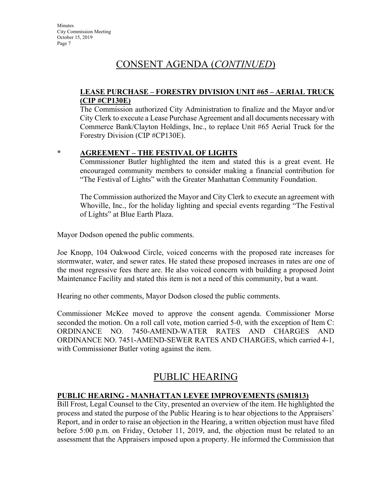## CONSENT AGENDA (*CONTINUED*)

### **LEASE PURCHASE – FORESTRY DIVISION UNIT #65 – AERIAL TRUCK (CIP #CP130E)**

The Commission authorized City Administration to finalize and the Mayor and/or City Clerk to execute a Lease Purchase Agreement and all documents necessary with Commerce Bank/Clayton Holdings, Inc., to replace Unit #65 Aerial Truck for the Forestry Division (CIP #CP130E).

## **\* AGREEMENT – THE FESTIVAL OF LIGHTS**

Commissioner Butler highlighted the item and stated this is a great event. He encouraged community members to consider making a financial contribution for "The Festival of Lights" with the Greater Manhattan Community Foundation.

The Commission authorized the Mayor and City Clerk to execute an agreement with Whoville, Inc., for the holiday lighting and special events regarding "The Festival of Lights" at Blue Earth Plaza.

Mayor Dodson opened the public comments.

Joe Knopp, 104 Oakwood Circle, voiced concerns with the proposed rate increases for stormwater, water, and sewer rates. He stated these proposed increases in rates are one of the most regressive fees there are. He also voiced concern with building a proposed Joint Maintenance Facility and stated this item is not a need of this community, but a want.

Hearing no other comments, Mayor Dodson closed the public comments.

Commissioner McKee moved to approve the consent agenda. Commissioner Morse seconded the motion. On a roll call vote, motion carried 5-0, with the exception of Item C: ORDINANCE NO. 7450-AMEND-WATER RATES AND CHARGES AND ORDINANCE NO. 7451-AMEND-SEWER RATES AND CHARGES, which carried 4-1, with Commissioner Butler voting against the item.

## PUBLIC HEARING

## **PUBLIC HEARING - MANHATTAN LEVEE IMPROVEMENTS (SM1813)**

Bill Frost, Legal Counsel to the City, presented an overview of the item. He highlighted the process and stated the purpose of the Public Hearing is to hear objections to the Appraisers' Report, and in order to raise an objection in the Hearing, a written objection must have filed before 5:00 p.m. on Friday, October 11, 2019, and, the objection must be related to an assessment that the Appraisers imposed upon a property. He informed the Commission that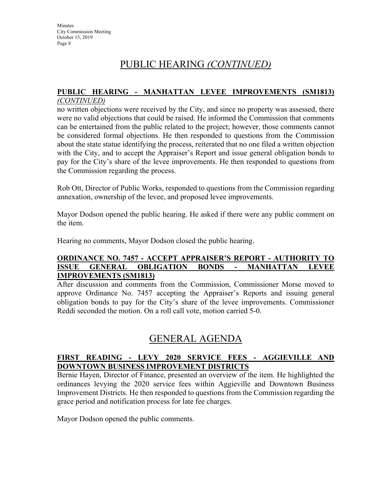## PUBLIC HEARING *(CONTINUED)*

## **PUBLIC HEARING - MANHATTAN LEVEE IMPROVEMENTS (SM1813)**

### *(CONTINUED)*

no written objections were received by the City, and since no property was assessed, there were no valid objections that could be raised. He informed the Commission that comments can be entertained from the public related to the project; however, those comments cannot be considered formal objections. He then responded to questions from the Commission about the state statue identifying the process, reiterated that no one filed a written objection with the City, and to accept the Appraiser's Report and issue general obligation bonds to pay for the City's share of the levee improvements. He then responded to questions from the Commission regarding the process.

Rob Ott, Director of Public Works, responded to questions from the Commission regarding annexation, ownership of the levee, and proposed levee improvements.

Mayor Dodson opened the public hearing. He asked if there were any public comment on the item.

Hearing no comments, Mayor Dodson closed the public hearing.

#### **ORDINANCE NO. 7457 - ACCEPT APPRAISER'S REPORT - AUTHORITY TO ISSUE GENERAL OBLIGATION BONDS - MANHATTAN LEVEE IMPROVEMENTS (SM1813)**

After discussion and comments from the Commission, Commissioner Morse moved to approve Ordinance No. 7457 accepting the Appraiser's Reports and issuing general obligation bonds to pay for the City's share of the levee improvements. Commissioner Reddi seconded the motion. On a roll call vote, motion carried 5-0.

## GENERAL AGENDA

## **FIRST READING - LEVY 2020 SERVICE FEES - AGGIEVILLE AND DOWNTOWN BUSINESS IMPROVEMENT DISTRICTS**

Bernie Hayen, Director of Finance, presented an overview of the item. He highlighted the ordinances levying the 2020 service fees within Aggieville and Downtown Business Improvement Districts. He then responded to questions from the Commission regarding the grace period and notification process for late fee charges.

Mayor Dodson opened the public comments.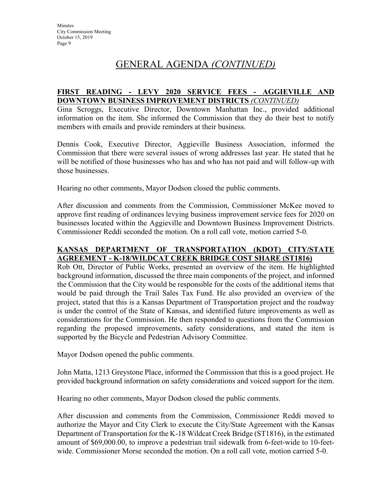## GENERAL AGENDA *(CONTINUED)*

#### **FIRST READING - LEVY 2020 SERVICE FEES - AGGIEVILLE AND DOWNTOWN BUSINESS IMPROVEMENT DISTRICTS** *(CONTINUED)*

Gina Scroggs, Executive Director, Downtown Manhattan Inc., provided additional information on the item. She informed the Commission that they do their best to notify members with emails and provide reminders at their business.

Dennis Cook, Executive Director, Aggieville Business Association, informed the Commission that there were several issues of wrong addresses last year. He stated that he will be notified of those businesses who has and who has not paid and will follow-up with those businesses.

Hearing no other comments, Mayor Dodson closed the public comments.

After discussion and comments from the Commission, Commissioner McKee moved to approve first reading of ordinances levying business improvement service fees for 2020 on businesses located within the Aggieville and Downtown Business Improvement Districts. Commissioner Reddi seconded the motion. On a roll call vote, motion carried 5-0.

## **KANSAS DEPARTMENT OF TRANSPORTATION (KDOT) CITY/STATE AGREEMENT - K-18/WILDCAT CREEK BRIDGE COST SHARE (ST1816)**

Rob Ott, Director of Public Works, presented an overview of the item. He highlighted background information, discussed the three main components of the project, and informed the Commission that the City would be responsible for the costs of the additional items that would be paid through the Trail Sales Tax Fund. He also provided an overview of the project, stated that this is a Kansas Department of Transportation project and the roadway is under the control of the State of Kansas, and identified future improvements as well as considerations for the Commission. He then responded to questions from the Commission regarding the proposed improvements, safety considerations, and stated the item is supported by the Bicycle and Pedestrian Advisory Committee.

Mayor Dodson opened the public comments.

John Matta, 1213 Greystone Place, informed the Commission that this is a good project. He provided background information on safety considerations and voiced support for the item.

Hearing no other comments, Mayor Dodson closed the public comments.

After discussion and comments from the Commission, Commissioner Reddi moved to authorize the Mayor and City Clerk to execute the City/State Agreement with the Kansas Department of Transportation for the K-18 Wildcat Creek Bridge (ST1816), in the estimated amount of \$69,000.00, to improve a pedestrian trail sidewalk from 6-feet-wide to 10-feetwide. Commissioner Morse seconded the motion. On a roll call vote, motion carried 5-0.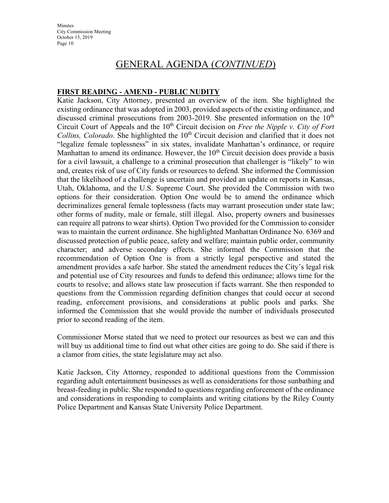## GENERAL AGENDA (*CONTINUED*)

### **FIRST READING - AMEND - PUBLIC NUDITY**

Katie Jackson, City Attorney, presented an overview of the item. She highlighted the existing ordinance that was adopted in 2003, provided aspects of the existing ordinance, and discussed criminal prosecutions from 2003-2019. She presented information on the 10<sup>th</sup> Circuit Court of Appeals and the 10<sup>th</sup> Circuit decision on *Free the Nipple v. City of Fort Collins, Colorado*. She highlighted the 10<sup>th</sup> Circuit decision and clarified that it does not "legalize female toplessness" in six states, invalidate Manhattan's ordinance, or require Manhattan to amend its ordinance. However, the  $10<sup>th</sup>$  Circuit decision does provide a basis for a civil lawsuit, a challenge to a criminal prosecution that challenger is "likely" to win and, creates risk of use of City funds or resources to defend. She informed the Commission that the likelihood of a challenge is uncertain and provided an update on reports in Kansas, Utah, Oklahoma, and the U.S. Supreme Court. She provided the Commission with two options for their consideration. Option One would be to amend the ordinance which decriminalizes general female toplessness (facts may warrant prosecution under state law; other forms of nudity, male or female, still illegal. Also, property owners and businesses can require all patrons to wear shirts). Option Two provided for the Commission to consider was to maintain the current ordinance. She highlighted Manhattan Ordinance No. 6369 and discussed protection of public peace, safety and welfare; maintain public order, community character; and adverse secondary effects. She informed the Commission that the recommendation of Option One is from a strictly legal perspective and stated the amendment provides a safe harbor. She stated the amendment reduces the City's legal risk and potential use of City resources and funds to defend this ordinance; allows time for the courts to resolve; and allows state law prosecution if facts warrant. She then responded to questions from the Commission regarding definition changes that could occur at second reading, enforcement provisions, and considerations at public pools and parks. She informed the Commission that she would provide the number of individuals prosecuted prior to second reading of the item.

Commissioner Morse stated that we need to protect our resources as best we can and this will buy us additional time to find out what other cities are going to do. She said if there is a clamor from cities, the state legislature may act also.

Katie Jackson, City Attorney, responded to additional questions from the Commission regarding adult entertainment businesses as well as considerations for those sunbathing and breast-feeding in public. She responded to questions regarding enforcement of the ordinance and considerations in responding to complaints and writing citations by the Riley County Police Department and Kansas State University Police Department.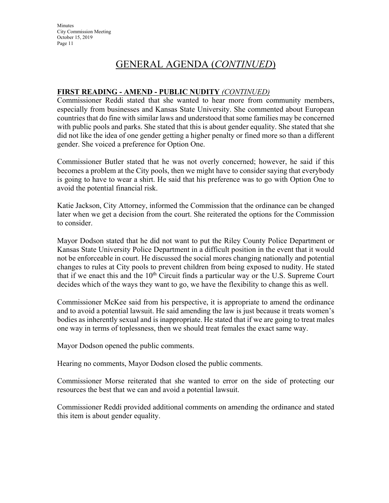## GENERAL AGENDA (*CONTINUED*)

## **FIRST READING - AMEND - PUBLIC NUDITY** *(CONTINUED)*

Commissioner Reddi stated that she wanted to hear more from community members, especially from businesses and Kansas State University. She commented about European countries that do fine with similar laws and understood that some families may be concerned with public pools and parks. She stated that this is about gender equality. She stated that she did not like the idea of one gender getting a higher penalty or fined more so than a different gender. She voiced a preference for Option One.

Commissioner Butler stated that he was not overly concerned; however, he said if this becomes a problem at the City pools, then we might have to consider saying that everybody is going to have to wear a shirt. He said that his preference was to go with Option One to avoid the potential financial risk.

Katie Jackson, City Attorney, informed the Commission that the ordinance can be changed later when we get a decision from the court. She reiterated the options for the Commission to consider.

Mayor Dodson stated that he did not want to put the Riley County Police Department or Kansas State University Police Department in a difficult position in the event that it would not be enforceable in court. He discussed the social mores changing nationally and potential changes to rules at City pools to prevent children from being exposed to nudity. He stated that if we enact this and the  $10<sup>th</sup>$  Circuit finds a particular way or the U.S. Supreme Court decides which of the ways they want to go, we have the flexibility to change this as well.

Commissioner McKee said from his perspective, it is appropriate to amend the ordinance and to avoid a potential lawsuit. He said amending the law is just because it treats women's bodies as inherently sexual and is inappropriate. He stated that if we are going to treat males one way in terms of toplessness, then we should treat females the exact same way.

Mayor Dodson opened the public comments.

Hearing no comments, Mayor Dodson closed the public comments.

Commissioner Morse reiterated that she wanted to error on the side of protecting our resources the best that we can and avoid a potential lawsuit.

Commissioner Reddi provided additional comments on amending the ordinance and stated this item is about gender equality.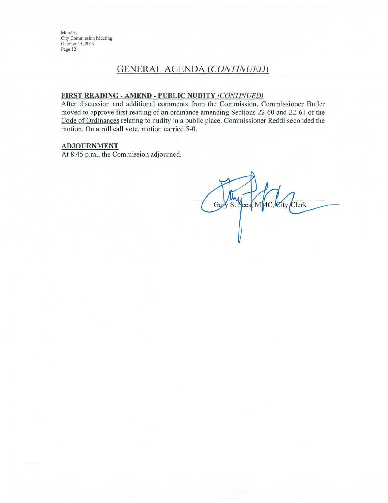## **GENERAL AGENDA (CONTINUED)**

#### FIRST READING - AMEND - PUBLIC NUDITY (CONTINUED)

After discussion and additional comments from the Commission, Commissioner Butler moved to approve first reading of an ordinance amending Sections 22-60 and 22-61 of the Code of Ordinances relating to nudity in a public place. Commissioner Reddi seconded the motion. On a roll call vote, motion carried 5-0.

#### **ADJOURNMENT**

At 8:45 p.m., the Commission adjourned.

Gary S. Pees MMC, City Clerk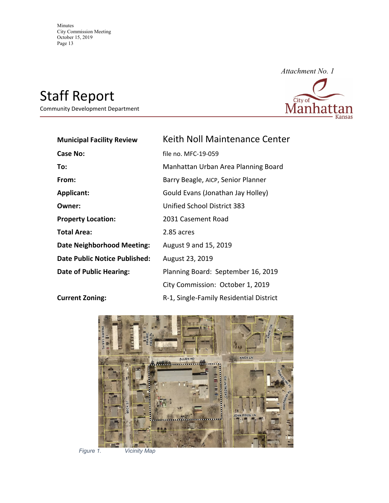# Staff Report

Community Development Department



| <b>Municipal Facility Review</b>  | <b>Keith Noll Maintenance Center</b>    |
|-----------------------------------|-----------------------------------------|
| <b>Case No:</b>                   | file no. MFC-19-059                     |
| To:                               | Manhattan Urban Area Planning Board     |
| From:                             | Barry Beagle, AICP, Senior Planner      |
| <b>Applicant:</b>                 | Gould Evans (Jonathan Jay Holley)       |
| Owner:                            | Unified School District 383             |
| <b>Property Location:</b>         | 2031 Casement Road                      |
| <b>Total Area:</b>                | 2.85 acres                              |
| <b>Date Neighborhood Meeting:</b> | August 9 and 15, 2019                   |
| Date Public Notice Published:     | August 23, 2019                         |
| Date of Public Hearing:           | Planning Board: September 16, 2019      |
|                                   | City Commission: October 1, 2019        |
| <b>Current Zoning:</b>            | R-1, Single-Family Residential District |



*Figure 1. Vicinity Map*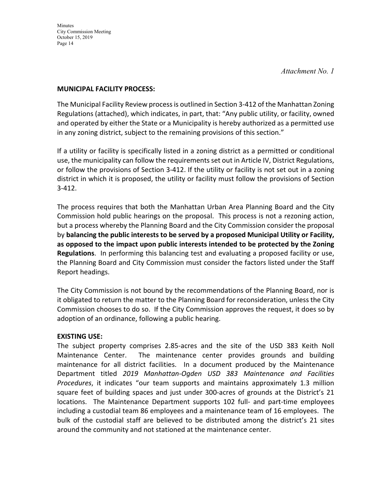*Attachment No. 1* 

#### **MUNICIPAL FACILITY PROCESS:**

The Municipal Facility Review process is outlined in Section 3-412 of the Manhattan Zoning Regulations (attached), which indicates, in part, that: "Any public utility, or facility, owned and operated by either the State or a Municipality is hereby authorized as a permitted use in any zoning district, subject to the remaining provisions of this section."

If a utility or facility is specifically listed in a zoning district as a permitted or conditional use, the municipality can follow the requirementsset out in Article IV, District Regulations, or follow the provisions of Section 3‐412. If the utility or facility is not set out in a zoning district in which it is proposed, the utility or facility must follow the provisions of Section 3‐412.

The process requires that both the Manhattan Urban Area Planning Board and the City Commission hold public hearings on the proposal. This process is not a rezoning action, but a process whereby the Planning Board and the City Commission consider the proposal by **balancing the public interests to be served by a proposed Municipal Utility or Facility, as opposed to the impact upon public interests intended to be protected by the Zoning Regulations**. In performing this balancing test and evaluating a proposed facility or use, the Planning Board and City Commission must consider the factors listed under the Staff Report headings.

The City Commission is not bound by the recommendations of the Planning Board, nor is it obligated to return the matter to the Planning Board for reconsideration, unless the City Commission chooses to do so. If the City Commission approves the request, it does so by adoption of an ordinance, following a public hearing.

#### **EXISTING USE:**

The subject property comprises 2.85‐acres and the site of the USD 383 Keith Noll Maintenance Center. The maintenance center provides grounds and building maintenance for all district facilities. In a document produced by the Maintenance Department titled *2019 Manhattan‐Ogden USD 383 Maintenance and Facilities Procedures*, it indicates "our team supports and maintains approximately 1.3 million square feet of building spaces and just under 300‐acres of grounds at the District's 21 locations. The Maintenance Department supports 102 full- and part-time employees including a custodial team 86 employees and a maintenance team of 16 employees. The bulk of the custodial staff are believed to be distributed among the district's 21 sites around the community and not stationed at the maintenance center.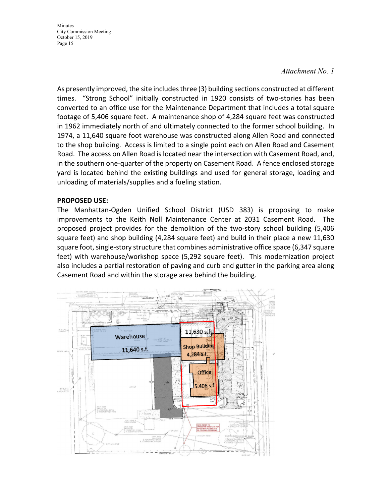#### *Attachment No. 1*

As presently improved, the site includesthree (3) building sections constructed at different times. "Strong School" initially constructed in 1920 consists of two‐stories has been converted to an office use for the Maintenance Department that includes a total square footage of 5,406 square feet. A maintenance shop of 4,284 square feet was constructed in 1962 immediately north of and ultimately connected to the former school building. In 1974, a 11,640 square foot warehouse was constructed along Allen Road and connected to the shop building. Access is limited to a single point each on Allen Road and Casement Road. The access on Allen Road is located near the intersection with Casement Road, and, in the southern one‐quarter of the property on Casement Road. A fence enclosed storage yard is located behind the existing buildings and used for general storage, loading and unloading of materials/supplies and a fueling station.

#### **PROPOSED USE:**

The Manhattan‐Ogden Unified School District (USD 383) is proposing to make improvements to the Keith Noll Maintenance Center at 2031 Casement Road. The proposed project provides for the demolition of the two‐story school building (5,406 square feet) and shop building (4,284 square feet) and build in their place a new 11,630 square foot, single-story structure that combines administrative office space (6,347 square feet) with warehouse/workshop space (5,292 square feet). This modernization project also includes a partial restoration of paving and curb and gutter in the parking area along Casement Road and within the storage area behind the building.

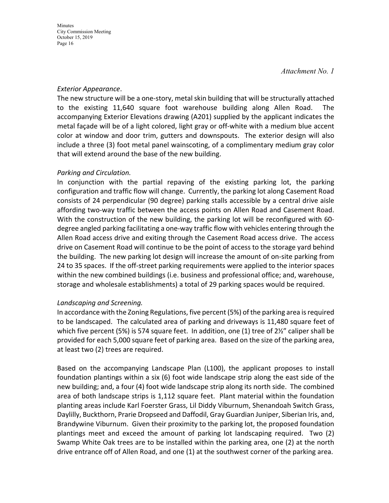*Attachment No. 1* 

### *Exterior Appearance*.

The new structure will be a one‐story, metal skin building that will be structurally attached to the existing 11,640 square foot warehouse building along Allen Road. The accompanying Exterior Elevations drawing (A201) supplied by the applicant indicates the metal façade will be of a light colored, light gray or off‐white with a medium blue accent color at window and door trim, gutters and downspouts. The exterior design will also include a three (3) foot metal panel wainscoting, of a complimentary medium gray color that will extend around the base of the new building.

## *Parking and Circulation.*

In conjunction with the partial repaving of the existing parking lot, the parking configuration and traffic flow will change. Currently, the parking lot along Casement Road consists of 24 perpendicular (90 degree) parking stalls accessible by a central drive aisle affording two‐way traffic between the access points on Allen Road and Casement Road. With the construction of the new building, the parking lot will be reconfigured with 60‐ degree angled parking facilitating a one‐way traffic flow with vehicles entering through the Allen Road access drive and exiting through the Casement Road access drive. The access drive on Casement Road will continue to be the point of access to the storage yard behind the building. The new parking lot design will increase the amount of on‐site parking from 24 to 35 spaces. If the off‐street parking requirements were applied to the interior spaces within the new combined buildings (i.e. business and professional office; and, warehouse, storage and wholesale establishments) a total of 29 parking spaces would be required.

## *Landscaping and Screening.*

In accordance with the Zoning Regulations, five percent (5%) of the parking area isrequired to be landscaped. The calculated area of parking and driveways is 11,480 square feet of which five percent (5%) is 574 square feet. In addition, one (1) tree of  $2\frac{1}{2}$  caliper shall be provided for each 5,000 square feet of parking area. Based on the size of the parking area, at least two (2) trees are required.

Based on the accompanying Landscape Plan (L100), the applicant proposes to install foundation plantings within a six (6) foot wide landscape strip along the east side of the new building; and, a four (4) foot wide landscape strip along its north side. The combined area of both landscape strips is 1,112 square feet. Plant material within the foundation planting areas include Karl Foerster Grass, Lil Diddy Viburnum, Shenandoah Switch Grass, Daylilly, Buckthorn, Prarie Dropseed and Daffodil, Gray Guardian Juniper, Siberian Iris, and, Brandywine Viburnum. Given their proximity to the parking lot, the proposed foundation plantings meet and exceed the amount of parking lot landscaping required. Two (2) Swamp White Oak trees are to be installed within the parking area, one (2) at the north drive entrance off of Allen Road, and one (1) at the southwest corner of the parking area.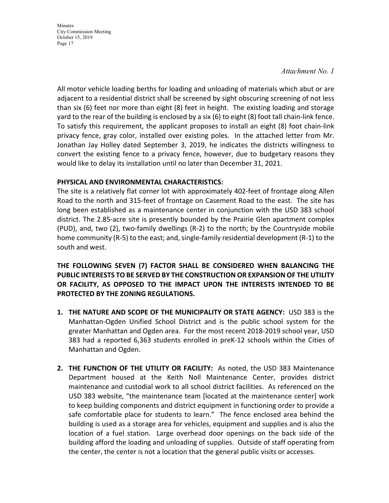#### *Attachment No. 1*

All motor vehicle loading berths for loading and unloading of materials which abut or are adjacent to a residential district shall be screened by sight obscuring screening of not less than six (6) feet nor more than eight (8) feet in height. The existing loading and storage yard to the rear of the building is enclosed by a six (6) to eight (8) foot tall chain‐link fence. To satisfy this requirement, the applicant proposes to install an eight (8) foot chain‐link privacy fence, gray color, installed over existing poles. In the attached letter from Mr. Jonathan Jay Holley dated September 3, 2019, he indicates the districts willingness to convert the existing fence to a privacy fence, however, due to budgetary reasons they would like to delay its installation until no later than December 31, 2021.

#### **PHYSICAL AND ENVIRONMENTAL CHARACTERISTICS:**

The site is a relatively flat corner lot with approximately 402‐feet of frontage along Allen Road to the north and 315‐feet of frontage on Casement Road to the east. The site has long been established as a maintenance center in conjunction with the USD 383 school district. The 2.85‐acre site is presently bounded by the Prairie Glen apartment complex (PUD), and, two (2), two‐family dwellings (R‐2) to the north; by the Countryside mobile home community (R‐5) to the east; and, single‐family residential development (R‐1) to the south and west.

**THE FOLLOWING SEVEN (7) FACTOR SHALL BE CONSIDERED WHEN BALANCING THE PUBLIC INTERESTS TO BE SERVED BY THE CONSTRUCTION OR EXPANSION OF THE UTILITY OR FACILITY, AS OPPOSED TO THE IMPACT UPON THE INTERESTS INTENDED TO BE PROTECTED BY THE ZONING REGULATIONS.**

- **1. THE NATURE AND SCOPE OF THE MUNICIPALITY OR STATE AGENCY:** USD 383 is the Manhattan‐Ogden Unified School District and is the public school system for the greater Manhattan and Ogden area. For the most recent 2018‐2019 school year, USD 383 had a reported 6,363 students enrolled in preK‐12 schools within the Cities of Manhattan and Ogden.
- **2. THE FUNCTION OF THE UTILITY OR FACILITY:** As noted, the USD 383 Maintenance Department housed at the Keith Noll Maintenance Center, provides district maintenance and custodial work to all school district facilities. As referenced on the USD 383 website, "the maintenance team [located at the maintenance center] work to keep building components and district equipment in functioning order to provide a safe comfortable place for students to learn." The fence enclosed area behind the building is used as a storage area for vehicles, equipment and supplies and is also the location of a fuel station. Large overhead door openings on the back side of the building afford the loading and unloading of supplies. Outside of staff operating from the center, the center is not a location that the general public visits or accesses.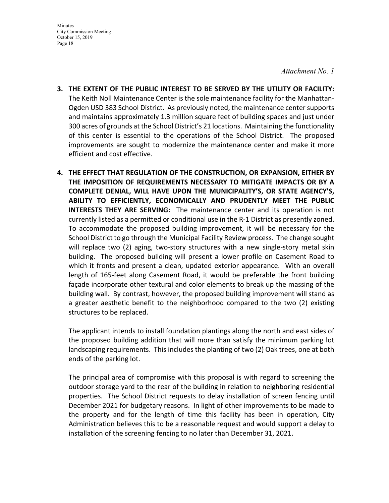*Attachment No. 1* 

- **3. THE EXTENT OF THE PUBLIC INTEREST TO BE SERVED BY THE UTILITY OR FACILITY:** The Keith Noll Maintenance Center is the sole maintenance facility for the Manhattan‐ Ogden USD 383 School District. As previously noted, the maintenance center supports and maintains approximately 1.3 million square feet of building spaces and just under 300 acres of grounds at the School District's 21 locations. Maintaining the functionality of this center is essential to the operations of the School District. The proposed improvements are sought to modernize the maintenance center and make it more efficient and cost effective.
- **4. THE EFFECT THAT REGULATION OF THE CONSTRUCTION, OR EXPANSION, EITHER BY THE IMPOSITION OF REQUIREMENTS NECESSARY TO MITIGATE IMPACTS OR BY A COMPLETE DENIAL, WILL HAVE UPON THE MUNICIPALITY'S, OR STATE AGENCY'S, ABILITY TO EFFICIENTLY, ECONOMICALLY AND PRUDENTLY MEET THE PUBLIC INTERESTS THEY ARE SERVING:** The maintenance center and its operation is not currently listed as a permitted or conditional use in the R‐1 District as presently zoned. To accommodate the proposed building improvement, it will be necessary for the School District to go through the Municipal Facility Review process. The change sought will replace two (2) aging, two-story structures with a new single-story metal skin building. The proposed building will present a lower profile on Casement Road to which it fronts and present a clean, updated exterior appearance. With an overall length of 165‐feet along Casement Road, it would be preferable the front building façade incorporate other textural and color elements to break up the massing of the building wall. By contrast, however, the proposed building improvement will stand as a greater aesthetic benefit to the neighborhood compared to the two (2) existing structures to be replaced.

The applicant intends to install foundation plantings along the north and east sides of the proposed building addition that will more than satisfy the minimum parking lot landscaping requirements. This includes the planting of two (2) Oak trees, one at both ends of the parking lot.

The principal area of compromise with this proposal is with regard to screening the outdoor storage yard to the rear of the building in relation to neighboring residential properties. The School District requests to delay installation of screen fencing until December 2021 for budgetary reasons. In light of other improvements to be made to the property and for the length of time this facility has been in operation, City Administration believes this to be a reasonable request and would support a delay to installation of the screening fencing to no later than December 31, 2021.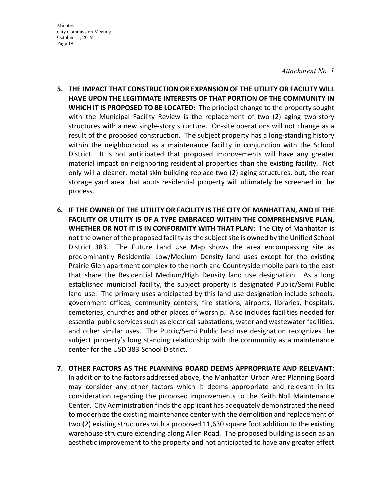*Attachment No. 1* 

- **5. THE IMPACT THAT CONSTRUCTION OR EXPANSION OF THE UTILITY OR FACILITY WILL HAVE UPON THE LEGITIMATE INTERESTS OF THAT PORTION OF THE COMMUNITY IN WHICH IT IS PROPOSED TO BE LOCATED:** The principal change to the property sought with the Municipal Facility Review is the replacement of two (2) aging two-story structures with a new single‐story structure. On‐site operations will not change as a result of the proposed construction. The subject property has a long‐standing history within the neighborhood as a maintenance facility in conjunction with the School District. It is not anticipated that proposed improvements will have any greater material impact on neighboring residential properties than the existing facility. Not only will a cleaner, metal skin building replace two (2) aging structures, but, the rear storage yard area that abuts residential property will ultimately be screened in the process.
- **6. IF THE OWNER OF THE UTILITY OR FACILITY IS THE CITY OF MANHATTAN, AND IF THE FACILITY OR UTILITY IS OF A TYPE EMBRACED WITHIN THE COMPREHENSIVE PLAN, WHETHER OR NOT IT IS IN CONFORMITY WITH THAT PLAN:** The City of Manhattan is not the owner of the proposed facility asthe subjectsite is owned by the Unified School District 383. The Future Land Use Map shows the area encompassing site as predominantly Residential Low/Medium Density land uses except for the existing Prairie Glen apartment complex to the north and Countryside mobile park to the east that share the Residential Medium/High Density land use designation. As a long established municipal facility, the subject property is designated Public/Semi Public land use. The primary uses anticipated by this land use designation include schools, government offices, community centers, fire stations, airports, libraries, hospitals, cemeteries, churches and other places of worship. Also includes facilities needed for essential public services such as electrical substations, water and wastewater facilities, and other similar uses. The Public/Semi Public land use designation recognizes the subject property's long standing relationship with the community as a maintenance center for the USD 383 School District.
- **7. OTHER FACTORS AS THE PLANNING BOARD DEEMS APPROPRIATE AND RELEVANT:** In addition to the factors addressed above, the Manhattan Urban Area Planning Board may consider any other factors which it deems appropriate and relevant in its consideration regarding the proposed improvements to the Keith Noll Maintenance Center. City Administration finds the applicant has adequately demonstrated the need to modernize the existing maintenance center with the demolition and replacement of two (2) existing structures with a proposed 11,630 square foot addition to the existing warehouse structure extending along Allen Road. The proposed building is seen as an aesthetic improvement to the property and not anticipated to have any greater effect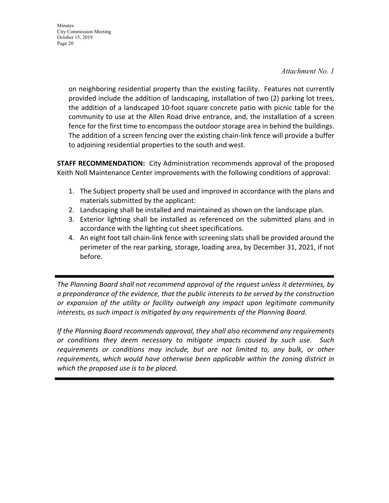#### *Attachment No. 1*

on neighboring residential property than the existing facility. Features not currently provided include the addition of landscaping, installation of two (2) parking lot trees, the addition of a landscaped 10‐foot square concrete patio with picnic table for the community to use at the Allen Road drive entrance, and, the installation of a screen fence for the first time to encompass the outdoor storage area in behind the buildings. The addition of a screen fencing over the existing chain‐link fence will provide a buffer to adjoining residential properties to the south and west.

**STAFF RECOMMENDATION:** City Administration recommends approval of the proposed Keith Noll Maintenance Center improvements with the following conditions of approval:

- 1. The Subject property shall be used and improved in accordance with the plans and materials submitted by the applicant:
- 2. Landscaping shall be installed and maintained as shown on the landscape plan.
- 3. Exterior lighting shall be installed as referenced on the submitted plans and in accordance with the lighting cut sheet specifications.
- 4. An eight foot tall chain‐link fence with screening slats shall be provided around the perimeter of the rear parking, storage, loading area, by December 31, 2021, if not before.

*The Planning Board shall not recommend approval of the request unless it determines, by a preponderance of the evidence, that the public interests to be served by the construction or expansion of the utility or facility outweigh any impact upon legitimate community interests, as such impact is mitigated by any requirements of the Planning Board.*

*If the Planning Board recommends approval, they shall also recommend any requirements or conditions they deem necessary to mitigate impacts caused by such use. Such requirements or conditions may include, but are not limited to, any bulk, or other requirements, which would have otherwise been applicable within the zoning district in which the proposed use is to be placed.*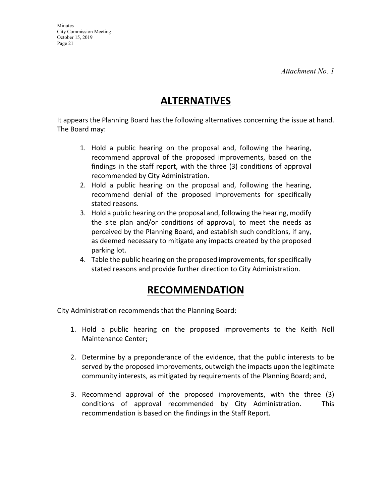*Attachment No. 1* 

## **ALTERNATIVES**

It appears the Planning Board has the following alternatives concerning the issue at hand. The Board may:

- 1. Hold a public hearing on the proposal and, following the hearing, recommend approval of the proposed improvements, based on the findings in the staff report, with the three (3) conditions of approval recommended by City Administration.
- 2. Hold a public hearing on the proposal and, following the hearing, recommend denial of the proposed improvements for specifically stated reasons.
- 3. Hold a public hearing on the proposal and, following the hearing, modify the site plan and/or conditions of approval, to meet the needs as perceived by the Planning Board, and establish such conditions, if any, as deemed necessary to mitigate any impacts created by the proposed parking lot.
- 4. Table the public hearing on the proposed improvements, forspecifically stated reasons and provide further direction to City Administration.

## **RECOMMENDATION**

City Administration recommends that the Planning Board:

- 1. Hold a public hearing on the proposed improvements to the Keith Noll Maintenance Center;
- 2. Determine by a preponderance of the evidence, that the public interests to be served by the proposed improvements, outweigh the impacts upon the legitimate community interests, as mitigated by requirements of the Planning Board; and,
- 3. Recommend approval of the proposed improvements, with the three (3) conditions of approval recommended by City Administration. This recommendation is based on the findings in the Staff Report.